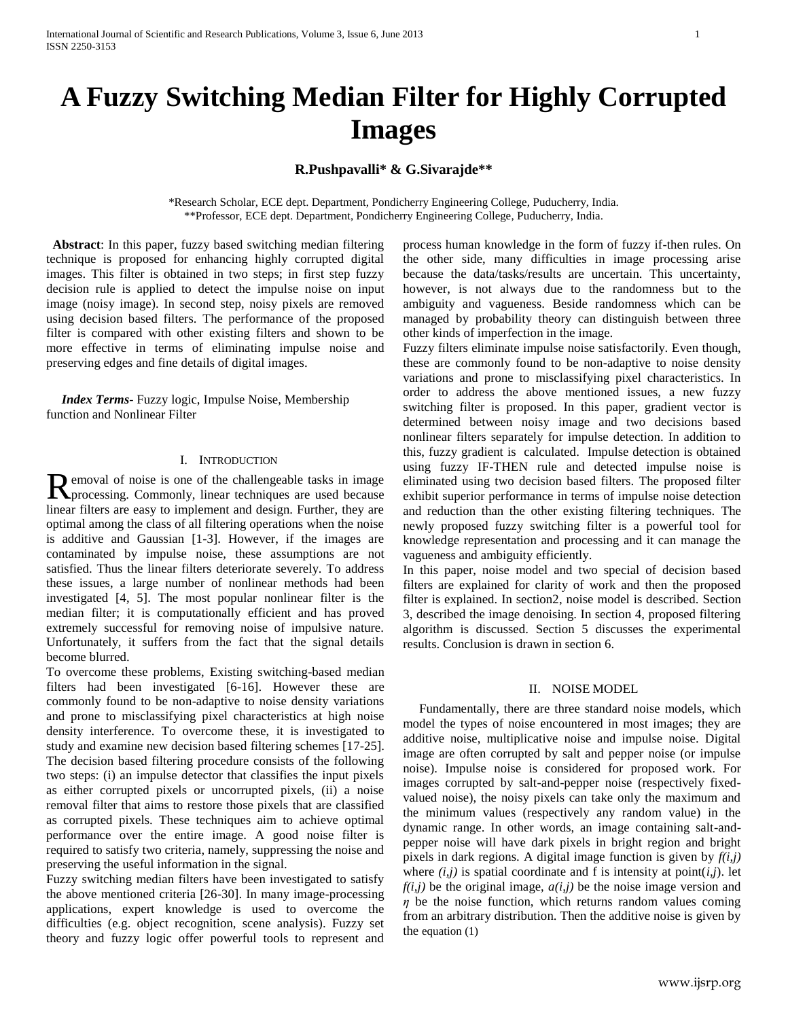# **A Fuzzy Switching Median Filter for Highly Corrupted Images**

## **R.Pushpavalli\* & G.Sivarajde\*\***

\*Research Scholar, ECE dept. Department, Pondicherry Engineering College, Puducherry, India. \*\*Professor, ECE dept. Department, Pondicherry Engineering College, Puducherry, India.

**Abstract**: In this paper, fuzzy based switching median filtering technique is proposed for enhancing highly corrupted digital images. This filter is obtained in two steps; in first step fuzzy decision rule is applied to detect the impulse noise on input image (noisy image). In second step, noisy pixels are removed using decision based filters. The performance of the proposed filter is compared with other existing filters and shown to be more effective in terms of eliminating impulse noise and preserving edges and fine details of digital images.

*Index Terms*- Fuzzy logic, Impulse Noise, Membership function and Nonlinear Filter

## I. INTRODUCTION

emoval of noise is one of the challengeable tasks in image Removal of noise is one of the challengeable tasks in image<br>processing. Commonly, linear techniques are used because linear filters are easy to implement and design. Further, they are optimal among the class of all filtering operations when the noise is additive and Gaussian [1-3]. However, if the images are contaminated by impulse noise, these assumptions are not satisfied. Thus the linear filters deteriorate severely. To address these issues, a large number of nonlinear methods had been investigated [4, 5]. The most popular nonlinear filter is the median filter; it is computationally efficient and has proved extremely successful for removing noise of impulsive nature. Unfortunately, it suffers from the fact that the signal details become blurred.

To overcome these problems, Existing switching-based median filters had been investigated [6-16]. However these are commonly found to be non-adaptive to noise density variations and prone to misclassifying pixel characteristics at high noise density interference. To overcome these, it is investigated to study and examine new decision based filtering schemes [17-25]. The decision based filtering procedure consists of the following two steps: (i) an impulse detector that classifies the input pixels as either corrupted pixels or uncorrupted pixels, (ii) a noise removal filter that aims to restore those pixels that are classified as corrupted pixels. These techniques aim to achieve optimal performance over the entire image. A good noise filter is required to satisfy two criteria, namely, suppressing the noise and preserving the useful information in the signal.

Fuzzy switching median filters have been investigated to satisfy the above mentioned criteria [26-30]. In many image-processing applications, expert knowledge is used to overcome the difficulties (e.g. object recognition, scene analysis). Fuzzy set theory and fuzzy logic offer powerful tools to represent and

process human knowledge in the form of fuzzy if-then rules. On the other side, many difficulties in image processing arise because the data/tasks/results are uncertain. This uncertainty, however, is not always due to the randomness but to the ambiguity and vagueness. Beside randomness which can be managed by probability theory can distinguish between three other kinds of imperfection in the image.

Fuzzy filters eliminate impulse noise satisfactorily. Even though, these are commonly found to be non-adaptive to noise density variations and prone to misclassifying pixel characteristics. In order to address the above mentioned issues, a new fuzzy switching filter is proposed. In this paper, gradient vector is determined between noisy image and two decisions based nonlinear filters separately for impulse detection. In addition to this, fuzzy gradient is calculated. Impulse detection is obtained using fuzzy IF-THEN rule and detected impulse noise is eliminated using two decision based filters. The proposed filter exhibit superior performance in terms of impulse noise detection and reduction than the other existing filtering techniques. The newly proposed fuzzy switching filter is a powerful tool for knowledge representation and processing and it can manage the vagueness and ambiguity efficiently.

In this paper, noise model and two special of decision based filters are explained for clarity of work and then the proposed filter is explained. In section2, noise model is described. Section 3, described the image denoising. In section 4, proposed filtering algorithm is discussed. Section 5 discusses the experimental results. Conclusion is drawn in section 6.

#### II. NOISE MODEL

 Fundamentally, there are three standard noise models, which model the types of noise encountered in most images; they are additive noise, multiplicative noise and impulse noise. Digital image are often corrupted by salt and pepper noise (or impulse noise). Impulse noise is considered for proposed work. For images corrupted by salt-and-pepper noise (respectively fixedvalued noise), the noisy pixels can take only the maximum and the minimum values (respectively any random value) in the dynamic range. In other words, an image containing salt-andpepper noise will have dark pixels in bright region and bright pixels in dark regions. A digital image function is given by  $f(i,j)$ where  $(i,j)$  is spatial coordinate and f is intensity at point $(i,j)$ . let  $f(i,j)$  be the original image,  $a(i,j)$  be the noise image version and  $\eta$  be the noise function, which returns random values coming from an arbitrary distribution. Then the additive noise is given by the equation (1)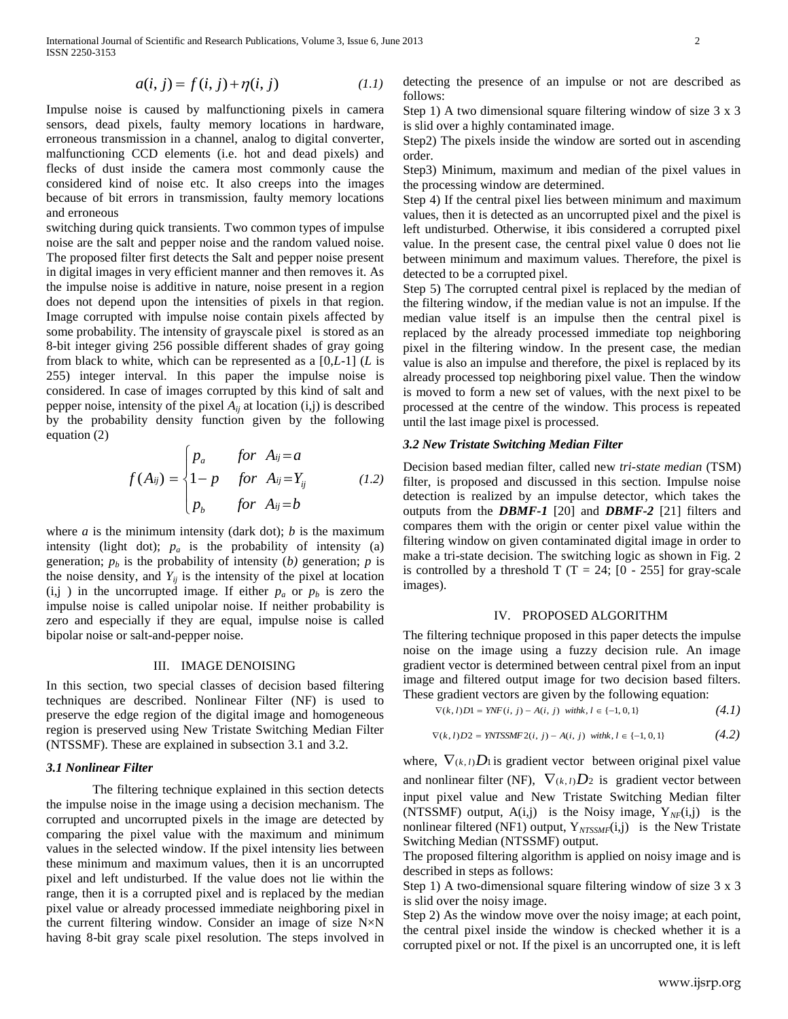$$
a(i, j) = f(i, j) + \eta(i, j) \tag{1.1}
$$

Impulse noise is caused by malfunctioning pixels in camera sensors, dead pixels, faulty memory locations in hardware, erroneous transmission in a channel, analog to digital converter, malfunctioning CCD elements (i.e. hot and dead pixels) and flecks of dust inside the camera most commonly cause the considered kind of noise etc. It also creeps into the images because of bit errors in transmission, faulty memory locations and erroneous

switching during quick transients. Two common types of impulse noise are the salt and pepper noise and the random valued noise. The proposed filter first detects the Salt and pepper noise present in digital images in very efficient manner and then removes it. As the impulse noise is additive in nature, noise present in a region does not depend upon the intensities of pixels in that region. Image corrupted with impulse noise contain pixels affected by some probability. The intensity of grayscale pixel is stored as an 8-bit integer giving 256 possible different shades of gray going from black to white, which can be represented as a [0,*L*-1] (*L* is 255) integer interval. In this paper the impulse noise is considered. In case of images corrupted by this kind of salt and pepper noise, intensity of the pixel  $A_{ij}$  at location  $(i,j)$  is described by the probability density function given by the following equation (2)

equation (2)  
\n
$$
f(A_{ij}) = \begin{cases} p_a & \text{for } A_{ij} = a \\ 1-p & \text{for } A_{ij} = Y_{ij} \\ p_b & \text{for } A_{ij} = b \end{cases}
$$
\n(1.2)

where  $a$  is the minimum intensity (dark dot);  $b$  is the maximum intensity (light dot);  $p_a$  is the probability of intensity (a) generation;  $p_b$  is the probability of intensity (*b*) generation;  $p$  is the noise density, and  $Y_{ij}$  is the intensity of the pixel at location  $(i, j)$  in the uncorrupted image. If either  $p_a$  or  $p_b$  is zero the impulse noise is called unipolar noise. If neither probability is zero and especially if they are equal, impulse noise is called bipolar noise or salt-and-pepper noise.

### III. IMAGE DENOISING

In this section, two special classes of decision based filtering techniques are described. Nonlinear Filter (NF) is used to preserve the edge region of the digital image and homogeneous region is preserved using New Tristate Switching Median Filter (NTSSMF). These are explained in subsection 3.1 and 3.2.

#### *3.1 Nonlinear Filter*

The filtering technique explained in this section detects the impulse noise in the image using a decision mechanism. The corrupted and uncorrupted pixels in the image are detected by comparing the pixel value with the maximum and minimum values in the selected window. If the pixel intensity lies between these minimum and maximum values, then it is an uncorrupted pixel and left undisturbed. If the value does not lie within the range, then it is a corrupted pixel and is replaced by the median pixel value or already processed immediate neighboring pixel in the current filtering window. Consider an image of size N×N having 8-bit gray scale pixel resolution. The steps involved in

detecting the presence of an impulse or not are described as follows:

Step 1) A two dimensional square filtering window of size 3 x 3 is slid over a highly contaminated image.

Step2) The pixels inside the window are sorted out in ascending order.

Step3) Minimum, maximum and median of the pixel values in the processing window are determined.

Step 4) If the central pixel lies between minimum and maximum values, then it is detected as an uncorrupted pixel and the pixel is left undisturbed. Otherwise, it ibis considered a corrupted pixel value. In the present case, the central pixel value 0 does not lie between minimum and maximum values. Therefore, the pixel is detected to be a corrupted pixel.

Step 5) The corrupted central pixel is replaced by the median of the filtering window, if the median value is not an impulse. If the median value itself is an impulse then the central pixel is replaced by the already processed immediate top neighboring pixel in the filtering window. In the present case, the median value is also an impulse and therefore, the pixel is replaced by its already processed top neighboring pixel value. Then the window is moved to form a new set of values, with the next pixel to be processed at the centre of the window. This process is repeated until the last image pixel is processed.

## *3.2 New Tristate Switching Median Filter*

Decision based median filter, called new *tri-state median* (TSM) filter, is proposed and discussed in this section. Impulse noise detection is realized by an impulse detector, which takes the outputs from the *DBMF-1* [20] and *DBMF-2* [21] filters and compares them with the origin or center pixel value within the filtering window on given contaminated digital image in order to make a tri-state decision. The switching logic as shown in Fig. 2 is controlled by a threshold T (T = 24; [0 - 255] for gray-scale images).

## IV. PROPOSED ALGORITHM

The filtering technique proposed in this paper detects the impulse noise on the image using a fuzzy decision rule. An image gradient vector is determined between central pixel from an input image and filtered output image for two decision based filters.

These gradient vectors are given by the following equation:  
\n
$$
\nabla(k, l)D1 = YNF(i, j) - A(i, j) \text{ with } k, l \in \{-1, 0, 1\}
$$
\n(4.1)

$$
\nabla(k, l)D2 = \text{YNTSSMF2}(i, j) - A(i, j) \text{ with } k, l \in \{-1, 0, 1\}
$$
\n(4.2)

where,  $\nabla_{(k,l)}D_1$  is gradient vector between original pixel value and nonlinear filter (NF),  $\nabla_{(k,l)}D_2$  is gradient vector between input pixel value and New Tristate Switching Median filter (NTSSMF) output,  $A(i,j)$  is the Noisy image,  $Y_{NF}(i,j)$  is the nonlinear filtered (NF1) output, Y<sub>NTSSMF</sub>(i,j) is the New Tristate Switching Median (NTSSMF) output.

The proposed filtering algorithm is applied on noisy image and is described in steps as follows:

Step 1) A two-dimensional square filtering window of size 3 x 3 is slid over the noisy image.

Step 2) As the window move over the noisy image; at each point, the central pixel inside the window is checked whether it is a corrupted pixel or not. If the pixel is an uncorrupted one, it is left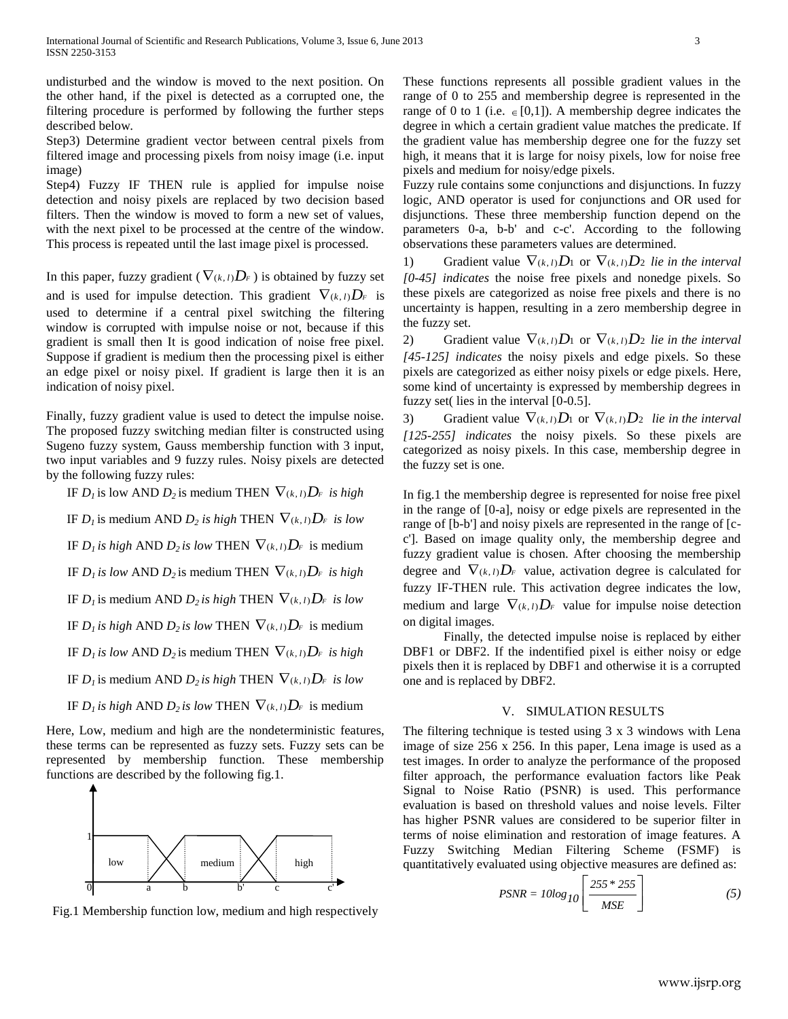undisturbed and the window is moved to the next position. On the other hand, if the pixel is detected as a corrupted one, the filtering procedure is performed by following the further steps described below.

Step3) Determine gradient vector between central pixels from filtered image and processing pixels from noisy image (i.e. input image)

Step4) Fuzzy IF THEN rule is applied for impulse noise detection and noisy pixels are replaced by two decision based filters. Then the window is moved to form a new set of values, with the next pixel to be processed at the centre of the window. This process is repeated until the last image pixel is processed.

In this paper, fuzzy gradient ( $\nabla_{(k,l)}D_F$ ) is obtained by fuzzy set and is used for impulse detection. This gradient  $\nabla_{(k, l)}D_F$  is used to determine if a central pixel switching the filtering window is corrupted with impulse noise or not, because if this gradient is small then It is good indication of noise free pixel. Suppose if gradient is medium then the processing pixel is either an edge pixel or noisy pixel. If gradient is large then it is an indication of noisy pixel.

Finally, fuzzy gradient value is used to detect the impulse noise. The proposed fuzzy switching median filter is constructed using Sugeno fuzzy system, Gauss membership function with 3 input, two input variables and 9 fuzzy rules. Noisy pixels are detected by the following fuzzy rules:

IF  $D_l$  is low AND  $D_2$  is medium THEN  $\nabla_{(k, l)}D_r$  *is high* IF  $D_l$  is medium AND  $D_2$  *is high* THEN  $\nabla_{(k, l)} D_r$  *is low* IF  $D_l$  *is high* AND  $D_2$  *is low THEN*  $\nabla_{(k, l)} D_r$  *is medium* IF  $D_l$  *is low AND*  $D_2$  *is medium THEN*  $\nabla_{(k, l)} D_r$  *is high* IF  $D_l$  is medium AND  $D_2$  *is high* THEN  $\nabla_{(k, l)} D_r$  *is low* IF  $D_l$  *is high* AND  $D_2$  *is low THEN*  $\nabla_{(k, l)} D_r$  *is medium* IF  $D_l$  *is low AND*  $D_2$  *is medium THEN*  $\nabla_{(k, l)} D_r$  *is high* 

IF  $D_l$  is medium AND  $D_2$  *is high* THEN  $\nabla_{(k, l)} D_r$  *is low* 

IF  $D_l$  *is high* AND  $D_2$  *is low THEN*  $\nabla_{(k, l)} D_r$  *is medium* 

Here, Low, medium and high are the nondeterministic features, these terms can be represented as fuzzy sets. Fuzzy sets can be represented by membership function. These membership functions are described by the following fig.1.



Fig.1 Membership function low, medium and high respectively

These functions represents all possible gradient values in the range of 0 to 255 and membership degree is represented in the range of 0 to 1 (i.e.  $\in [0,1]$ ). A membership degree indicates the degree in which a certain gradient value matches the predicate. If the gradient value has membership degree one for the fuzzy set high, it means that it is large for noisy pixels, low for noise free pixels and medium for noisy/edge pixels.

Fuzzy rule contains some conjunctions and disjunctions. In fuzzy logic, AND operator is used for conjunctions and OR used for disjunctions. These three membership function depend on the parameters 0-a, b-b' and c-c'. According to the following observations these parameters values are determined.

1) Gradient value  $\nabla_{(k, l)} D_1$  or  $\nabla_{(k, l)} D_2$  *lie in the interval [0-45] indicates* the noise free pixels and nonedge pixels. So these pixels are categorized as noise free pixels and there is no uncertainty is happen, resulting in a zero membership degree in the fuzzy set.

2) Gradient value  $\nabla_{(k, l)} D_1$  or  $\nabla_{(k, l)} D_2$  *lie in the interval [45-125] indicates* the noisy pixels and edge pixels. So these pixels are categorized as either noisy pixels or edge pixels. Here, some kind of uncertainty is expressed by membership degrees in fuzzy set( lies in the interval [0-0.5].

3) Gradient value  $\nabla_{(k, l)}D_1$  or  $\nabla_{(k, l)}D_2$  *lie in the interval [125-255] indicates* the noisy pixels. So these pixels are categorized as noisy pixels. In this case, membership degree in the fuzzy set is one.

In fig.1 the membership degree is represented for noise free pixel in the range of [0-a], noisy or edge pixels are represented in the range of [b-b'] and noisy pixels are represented in the range of [cc']. Based on image quality only, the membership degree and fuzzy gradient value is chosen. After choosing the membership degree and  $\nabla_{(k,l)}D_F$  value, activation degree is calculated for fuzzy IF-THEN rule. This activation degree indicates the low, medium and large  $\nabla_{(k, l)}D_F$  value for impulse noise detection on digital images.

Finally, the detected impulse noise is replaced by either DBF1 or DBF2. If the indentified pixel is either noisy or edge pixels then it is replaced by DBF1 and otherwise it is a corrupted one and is replaced by DBF2.

## V. SIMULATION RESULTS

The filtering technique is tested using 3 x 3 windows with Lena image of size 256 x 256. In this paper, Lena image is used as a test images. In order to analyze the performance of the proposed filter approach, the performance evaluation factors like Peak Signal to Noise Ratio (PSNR) is used. This performance evaluation is based on threshold values and noise levels. Filter has higher PSNR values are considered to be superior filter in terms of noise elimination and restoration of image features. A Fuzzy Switching Median Filtering Scheme (FSMF) is quantitatively evaluated using objective measures are defined as:

$$
PSNR = 10\log_{10}\left[\frac{255 * 255}{MSE}\right] \tag{5}
$$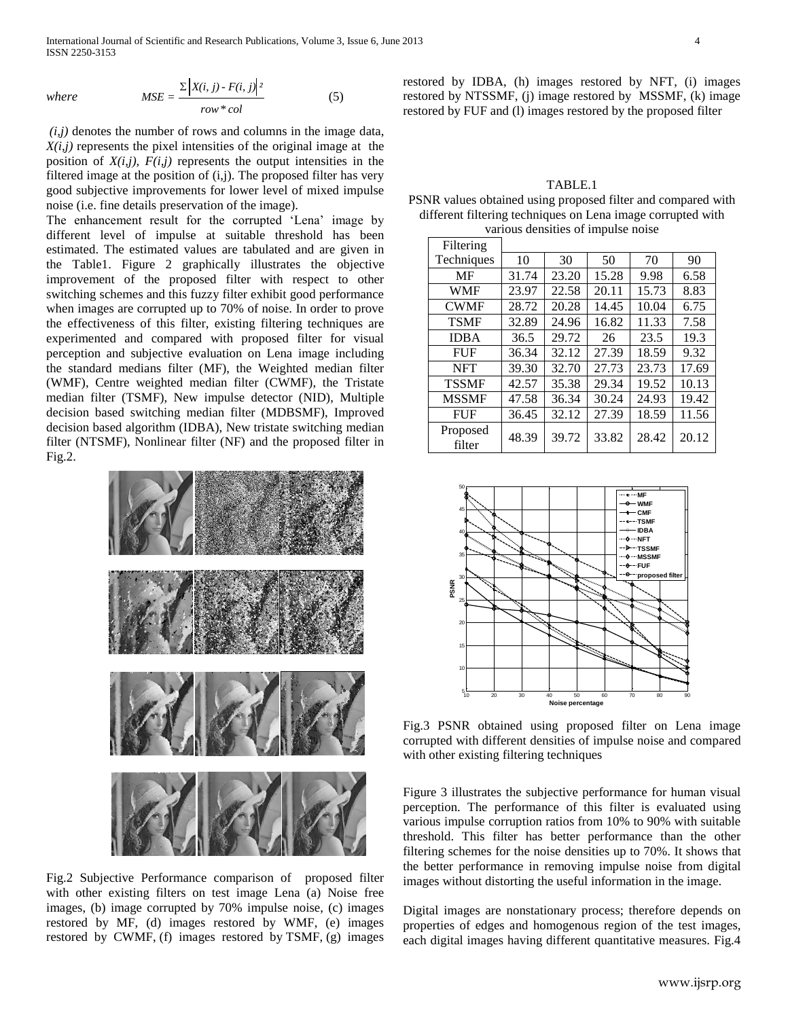International Journal of Scientific and Research Publications, Volume 3, Issue 6, June 2013 4 ISSN 2250-3153

where 
$$
MSE = \frac{\Sigma |X(i, j) - F(i, j)|^2}{row * col}
$$
 (5)

 $(i,j)$  denotes the number of rows and columns in the image data, *X(i,j)* represents the pixel intensities of the original image at the position of  $X(i,j)$ ,  $F(i,j)$  represents the output intensities in the filtered image at the position of  $(i,j)$ . The proposed filter has very good subjective improvements for lower level of mixed impulse noise (i.e. fine details preservation of the image).

The enhancement result for the corrupted 'Lena' image by different level of impulse at suitable threshold has been estimated. The estimated values are tabulated and are given in the Table1. Figure 2 graphically illustrates the objective improvement of the proposed filter with respect to other switching schemes and this fuzzy filter exhibit good performance when images are corrupted up to 70% of noise. In order to prove the effectiveness of this filter, existing filtering techniques are experimented and compared with proposed filter for visual perception and subjective evaluation on Lena image including the standard medians filter (MF), the Weighted median filter (WMF), Centre weighted median filter (CWMF), the Tristate median filter (TSMF), New impulse detector (NID), Multiple decision based switching median filter (MDBSMF), Improved decision based algorithm (IDBA), New tristate switching median filter (NTSMF), Nonlinear filter (NF) and the proposed filter in Fig.2.



Fig.2 Subjective Performance comparison of proposed filter with other existing filters on test image Lena (a) Noise free images, (b) image corrupted by 70% impulse noise, (c) images restored by MF, (d) images restored by WMF, (e) images restored by CWMF, (f) images restored by TSMF, (g) images

restored by IDBA, (h) images restored by NFT, (i) images restored by NTSSMF, (j) image restored by MSSMF, (k) image restored by FUF and (l) images restored by the proposed filter

TABLE.1 PSNR values obtained using proposed filter and compared with different filtering techniques on Lena image corrupted with various densities of impulse noise

| Filtering          |       |       |       |       |       |
|--------------------|-------|-------|-------|-------|-------|
| Techniques         | 10    | 30    | 50    | 70    | 90    |
| MF                 | 31.74 | 23.20 | 15.28 | 9.98  | 6.58  |
| <b>WMF</b>         | 23.97 | 22.58 | 20.11 | 15.73 | 8.83  |
| <b>CWMF</b>        | 28.72 | 20.28 | 14.45 | 10.04 | 6.75  |
| <b>TSMF</b>        | 32.89 | 24.96 | 16.82 | 11.33 | 7.58  |
| <b>IDBA</b>        | 36.5  | 29.72 | 26    | 23.5  | 19.3  |
| <b>FUF</b>         | 36.34 | 32.12 | 27.39 | 18.59 | 9.32  |
| <b>NFT</b>         | 39.30 | 32.70 | 27.73 | 23.73 | 17.69 |
| <b>TSSMF</b>       | 42.57 | 35.38 | 29.34 | 19.52 | 10.13 |
| <b>MSSMF</b>       | 47.58 | 36.34 | 30.24 | 24.93 | 19.42 |
| <b>FUF</b>         | 36.45 | 32.12 | 27.39 | 18.59 | 11.56 |
| Proposed<br>filter | 48.39 | 39.72 | 33.82 | 28.42 | 20.12 |



Fig.3 PSNR obtained using proposed filter on Lena image corrupted with different densities of impulse noise and compared with other existing filtering techniques

Figure 3 illustrates the subjective performance for human visual perception. The performance of this filter is evaluated using various impulse corruption ratios from 10% to 90% with suitable threshold. This filter has better performance than the other filtering schemes for the noise densities up to 70%. It shows that the better performance in removing impulse noise from digital images without distorting the useful information in the image.

Digital images are nonstationary process; therefore depends on properties of edges and homogenous region of the test images, each digital images having different quantitative measures. Fig.4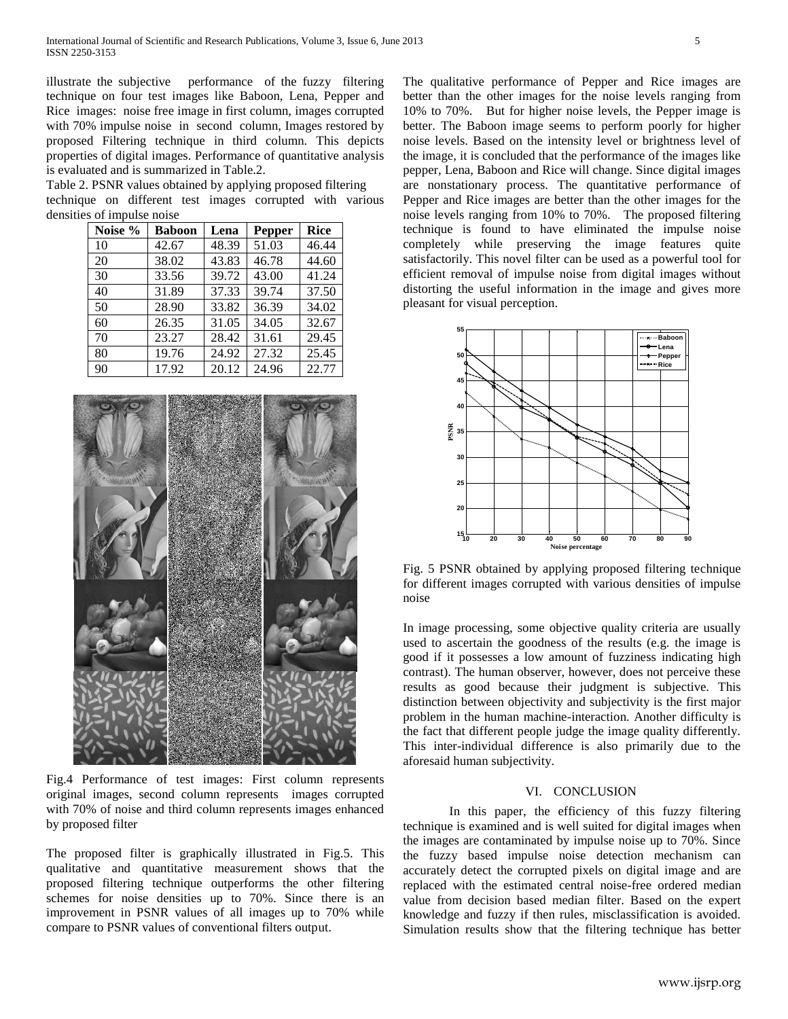illustrate the subjective performance of the fuzzy filtering technique on four test images like Baboon, Lena, Pepper and Rice images: noise free image in first column, images corrupted with 70% impulse noise in second column, Images restored by proposed Filtering technique in third column. This depicts properties of digital images. Performance of quantitative analysis is evaluated and is summarized in Table.2.

Table 2. PSNR values obtained by applying proposed filtering technique on different test images corrupted with various densities of impulse noise

| Noise % | <b>Baboon</b> | Lena  | <b>Pepper</b> | <b>Rice</b> |
|---------|---------------|-------|---------------|-------------|
| 10      | 42.67         | 48.39 | 51.03         | 46.44       |
| 20      | 38.02         | 43.83 | 46.78         | 44.60       |
| 30      | 33.56         | 39.72 | 43.00         | 41.24       |
| 40      | 31.89         | 37.33 | 39.74         | 37.50       |
| 50      | 28.90         | 33.82 | 36.39         | 34.02       |
| 60      | 26.35         | 31.05 | 34.05         | 32.67       |
| 70      | 23.27         | 28.42 | 31.61         | 29.45       |
| 80      | 19.76         | 24.92 | 27.32         | 25.45       |
| 90      | 17.92         | 20.12 | 24.96         | 22.77       |



Fig.4 Performance of test images: First column represents original images, second column represents images corrupted with 70% of noise and third column represents images enhanced by proposed filter

The proposed filter is graphically illustrated in Fig.5. This qualitative and quantitative measurement shows that the proposed filtering technique outperforms the other filtering schemes for noise densities up to 70%. Since there is an improvement in PSNR values of all images up to 70% while compare to PSNR values of conventional filters output.

The qualitative performance of Pepper and Rice images are better than the other images for the noise levels ranging from 10% to 70%. But for higher noise levels, the Pepper image is better. The Baboon image seems to perform poorly for higher noise levels. Based on the intensity level or brightness level of the image, it is concluded that the performance of the images like pepper, Lena, Baboon and Rice will change. Since digital images are nonstationary process. The quantitative performance of Pepper and Rice images are better than the other images for the noise levels ranging from 10% to 70%. The proposed filtering technique is found to have eliminated the impulse noise completely while preserving the image features quite satisfactorily. This novel filter can be used as a powerful tool for efficient removal of impulse noise from digital images without distorting the useful information in the image and gives more pleasant for visual perception.



Fig. 5 PSNR obtained by applying proposed filtering technique for different images corrupted with various densities of impulse noise

In image processing, some objective quality criteria are usually used to ascertain the goodness of the results (e.g. the image is good if it possesses a low amount of fuzziness indicating high contrast). The human observer, however, does not perceive these results as good because their judgment is subjective. This distinction between objectivity and subjectivity is the first major problem in the human machine-interaction. Another difficulty is the fact that different people judge the image quality differently. This inter-individual difference is also primarily due to the aforesaid human subjectivity.

### VI. CONCLUSION

In this paper, the efficiency of this fuzzy filtering technique is examined and is well suited for digital images when the images are contaminated by impulse noise up to 70%. Since the fuzzy based impulse noise detection mechanism can accurately detect the corrupted pixels on digital image and are replaced with the estimated central noise-free ordered median value from decision based median filter. Based on the expert knowledge and fuzzy if then rules, misclassification is avoided. Simulation results show that the filtering technique has better